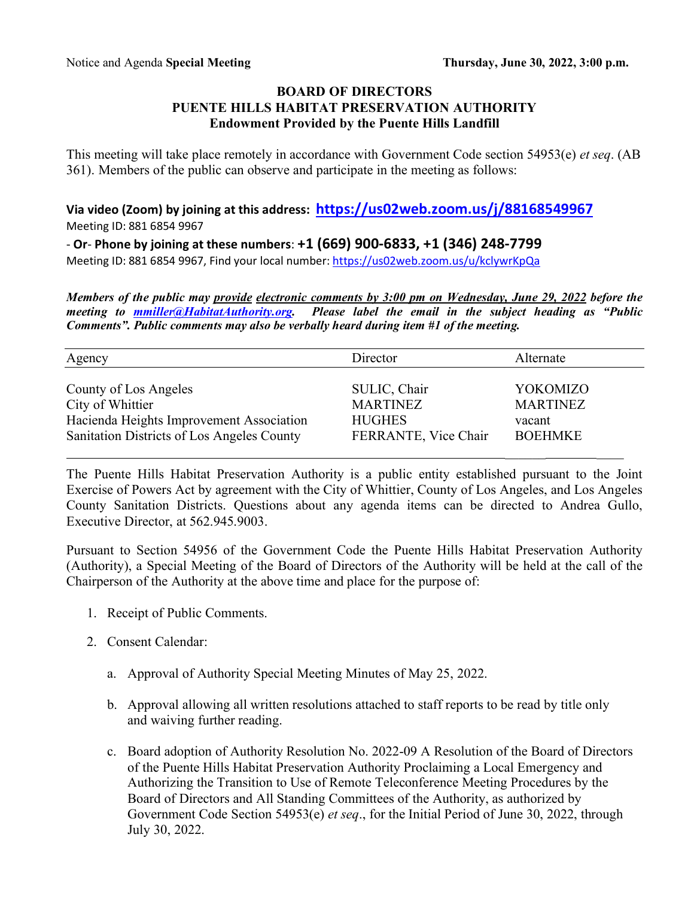## **BOARD OF DIRECTORS PUENTE HILLS HABITAT PRESERVATION AUTHORITY Endowment Provided by the Puente Hills Landfill**

This meeting will take place remotely in accordance with Government Code section 54953(e) *et seq*. (AB 361). Members of the public can observe and participate in the meeting as follows:

**Via video (Zoom) by joining at this address: https://us02web.zoom.us/j/88168549967** Meeting ID: 881 6854 9967

- **Or**- **Phone by joining at these numbers**: **+1 (669) 900-6833, +1 (346) 248-7799**

Meeting ID: 881 6854 9967, Find your local number: https://us02web.zoom.us/u/kclywrKpQa

*Members of the public may provide electronic comments by 3:00 pm on Wednesday, June 29, 2022 before the meeting to mmiller@HabitatAuthority.org. Please label the email in the subject heading as "Public Comments". Public comments may also be verbally heard during item #1 of the meeting.* 

| Agency                                     | Director             | Alternate       |
|--------------------------------------------|----------------------|-----------------|
| County of Los Angeles                      | SULIC, Chair         | YOKOMIZO        |
| City of Whittier                           | <b>MARTINEZ</b>      | <b>MARTINEZ</b> |
| Hacienda Heights Improvement Association   | <b>HUGHES</b>        | vacant          |
| Sanitation Districts of Los Angeles County | FERRANTE, Vice Chair | <b>BOEHMKE</b>  |

The Puente Hills Habitat Preservation Authority is a public entity established pursuant to the Joint Exercise of Powers Act by agreement with the City of Whittier, County of Los Angeles, and Los Angeles County Sanitation Districts. Questions about any agenda items can be directed to Andrea Gullo, Executive Director, at 562.945.9003.

Pursuant to Section 54956 of the Government Code the Puente Hills Habitat Preservation Authority (Authority), a Special Meeting of the Board of Directors of the Authority will be held at the call of the Chairperson of the Authority at the above time and place for the purpose of:

- 1. Receipt of Public Comments.
- 2. Consent Calendar:
	- a. Approval of Authority Special Meeting Minutes of May 25, 2022.
	- b. Approval allowing all written resolutions attached to staff reports to be read by title only and waiving further reading.
	- c. Board adoption of Authority Resolution No. 2022-09 A Resolution of the Board of Directors of the Puente Hills Habitat Preservation Authority Proclaiming a Local Emergency and Authorizing the Transition to Use of Remote Teleconference Meeting Procedures by the Board of Directors and All Standing Committees of the Authority, as authorized by Government Code Section 54953(e) *et seq*., for the Initial Period of June 30, 2022, through July 30, 2022.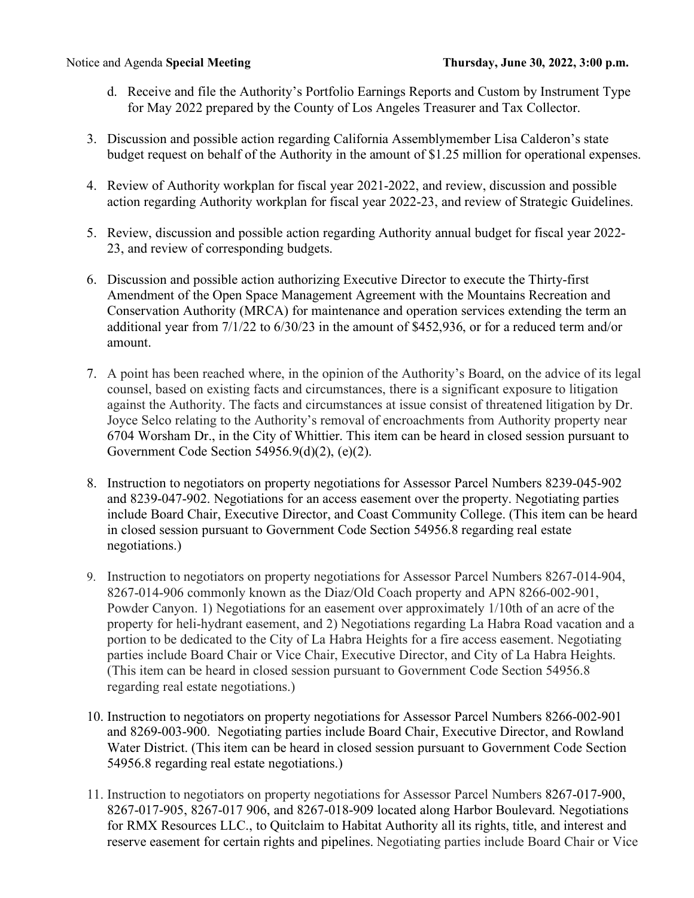- d. Receive and file the Authority's Portfolio Earnings Reports and Custom by Instrument Type for May 2022 prepared by the County of Los Angeles Treasurer and Tax Collector.
- 3. Discussion and possible action regarding California Assemblymember Lisa Calderon's state budget request on behalf of the Authority in the amount of \$1.25 million for operational expenses.
- 4. Review of Authority workplan for fiscal year 2021-2022, and review, discussion and possible action regarding Authority workplan for fiscal year 2022-23, and review of Strategic Guidelines.
- 5. Review, discussion and possible action regarding Authority annual budget for fiscal year 2022- 23, and review of corresponding budgets.
- 6. Discussion and possible action authorizing Executive Director to execute the Thirty-first Amendment of the Open Space Management Agreement with the Mountains Recreation and Conservation Authority (MRCA) for maintenance and operation services extending the term an additional year from 7/1/22 to 6/30/23 in the amount of \$452,936, or for a reduced term and/or amount.
- 7. A point has been reached where, in the opinion of the Authority's Board, on the advice of its legal counsel, based on existing facts and circumstances, there is a significant exposure to litigation against the Authority. The facts and circumstances at issue consist of threatened litigation by Dr. Joyce Selco relating to the Authority's removal of encroachments from Authority property near 6704 Worsham Dr., in the City of Whittier. This item can be heard in closed session pursuant to Government Code Section 54956.9(d)(2), (e)(2).
- 8. Instruction to negotiators on property negotiations for Assessor Parcel Numbers 8239-045-902 and 8239-047-902. Negotiations for an access easement over the property. Negotiating parties include Board Chair, Executive Director, and Coast Community College. (This item can be heard in closed session pursuant to Government Code Section 54956.8 regarding real estate negotiations.)
- 9. Instruction to negotiators on property negotiations for Assessor Parcel Numbers 8267-014-904, 8267-014-906 commonly known as the Diaz/Old Coach property and APN 8266-002-901, Powder Canyon. 1) Negotiations for an easement over approximately 1/10th of an acre of the property for heli-hydrant easement, and 2) Negotiations regarding La Habra Road vacation and a portion to be dedicated to the City of La Habra Heights for a fire access easement. Negotiating parties include Board Chair or Vice Chair, Executive Director, and City of La Habra Heights. (This item can be heard in closed session pursuant to Government Code Section 54956.8 regarding real estate negotiations.)
- 10. Instruction to negotiators on property negotiations for Assessor Parcel Numbers 8266-002-901 and 8269-003-900. Negotiating parties include Board Chair, Executive Director, and Rowland Water District. (This item can be heard in closed session pursuant to Government Code Section 54956.8 regarding real estate negotiations.)
- 11. Instruction to negotiators on property negotiations for Assessor Parcel Numbers 8267-017-900, 8267-017-905, 8267-017 906, and 8267-018-909 located along Harbor Boulevard. Negotiations for RMX Resources LLC., to Quitclaim to Habitat Authority all its rights, title, and interest and reserve easement for certain rights and pipelines. Negotiating parties include Board Chair or Vice